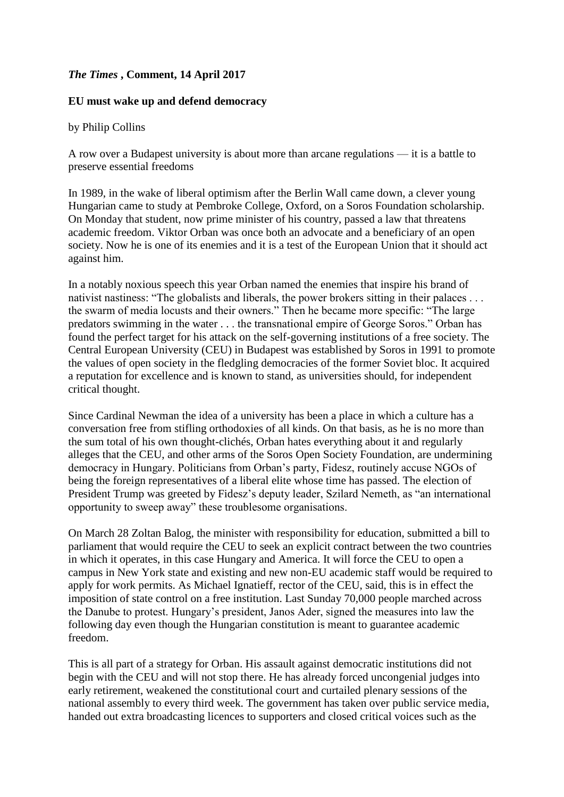## *The Times* **, Comment, 14 April 2017**

## **EU must wake up and defend democracy**

by Philip Collins

A row over a Budapest university is about more than arcane regulations — it is a battle to preserve essential freedoms

In 1989, in the wake of liberal optimism after the Berlin Wall came down, a clever young Hungarian came to study at Pembroke College, Oxford, on a Soros Foundation scholarship. On Monday that student, now prime minister of his country, passed a law that threatens academic freedom. Viktor Orban was once both an advocate and a beneficiary of an open society. Now he is one of its enemies and it is a test of the European Union that it should act against him.

In a notably noxious speech this year Orban named the enemies that inspire his brand of nativist nastiness: "The globalists and liberals, the power brokers sitting in their palaces . . . the swarm of media locusts and their owners." Then he became more specific: "The large predators swimming in the water . . . the transnational empire of George Soros." Orban has found the perfect target for his attack on the self-governing institutions of a free society. The Central European University (CEU) in Budapest was established by Soros in 1991 to promote the values of open society in the fledgling democracies of the former Soviet bloc. It acquired a reputation for excellence and is known to stand, as universities should, for independent critical thought.

Since Cardinal Newman the idea of a university has been a place in which a culture has a conversation free from stifling orthodoxies of all kinds. On that basis, as he is no more than the sum total of his own thought-clichés, Orban hates everything about it and regularly alleges that the CEU, and other arms of the Soros Open Society Foundation, are undermining democracy in Hungary. Politicians from Orban's party, Fidesz, routinely accuse NGOs of being the foreign representatives of a liberal elite whose time has passed. The election of President Trump was greeted by Fidesz's deputy leader, Szilard Nemeth, as "an international opportunity to sweep away" these troublesome organisations.

On March 28 Zoltan Balog, the minister with responsibility for education, submitted a bill to parliament that would require the CEU to seek an explicit contract between the two countries in which it operates, in this case Hungary and America. It will force the CEU to open a campus in New York state and existing and new non-EU academic staff would be required to apply for work permits. As Michael Ignatieff, rector of the CEU, said, this is in effect the imposition of state control on a free institution. Last Sunday 70,000 people marched across the Danube to protest. Hungary's president, Janos Ader, signed the measures into law the following day even though the Hungarian constitution is meant to guarantee academic freedom.

This is all part of a strategy for Orban. His assault against democratic institutions did not begin with the CEU and will not stop there. He has already forced uncongenial judges into early retirement, weakened the constitutional court and curtailed plenary sessions of the national assembly to every third week. The government has taken over public service media, handed out extra broadcasting licences to supporters and closed critical voices such as the